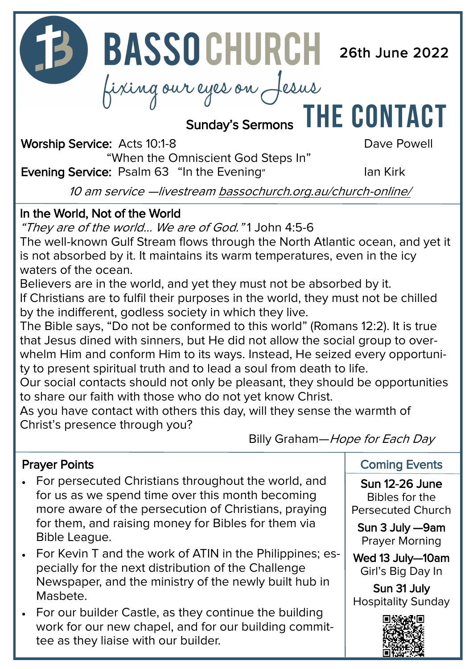**26th June 2022 BASSOCHURCH** 26th June 2022

# fixing our eyes on Jesus<br>Sunday's Sermons THE CONTACT

Worship Service: Acts 10:1-8 Dave Powell

"When the Omniscient God Steps In" Evening Service: Psalm 63 "In the Evening" Ian Kirk

10 am service —livestream [bassochurch.org.au/church](https://www.bassochurch.org.au/church-online/)-online/

#### In the World, Not of the World

"They are of the world… We are of God." 1 John 4:5-6

The well-known Gulf Stream flows through the North Atlantic ocean, and yet it is not absorbed by it. It maintains its warm temperatures, even in the icy waters of the ocean.

Believers are in the world, and yet they must not be absorbed by it. If Christians are to fulfil their purposes in the world, they must not be chilled by the indifferent, godless society in which they live.

The Bible says, "Do not be conformed to this world" (Romans 12:2). It is true that Jesus dined with sinners, but He did not allow the social group to overwhelm Him and conform Him to its ways. Instead, He seized every opportunity to present spiritual truth and to lead a soul from death to life.

Our social contacts should not only be pleasant, they should be opportunities to share our faith with those who do not yet know Christ.

As you have contact with others this day, will they sense the warmth of Christ's presence through you?

Billy Graham—Hope for Each Day

#### Prayer Points

- For persecuted Christians throughout the world, and for us as we spend time over this month becoming more aware of the persecution of Christians, praying for them, and raising money for Bibles for them via Bible League.
- For Kevin T and the work of ATIN in the Philippines; especially for the next distribution of the Challenge Newspaper, and the ministry of the newly built hub in Masbete.
- For our builder Castle, as they continue the building work for our new chapel, and for our building committee as they liaise with our builder.

Coming Events

Sun 12-26 June Bibles for the Persecuted Church

Sun 3 July —9am Prayer Morning

Wed 13 July—10am Girl's Big Day In

Sun 31 July Hospitality Sunday

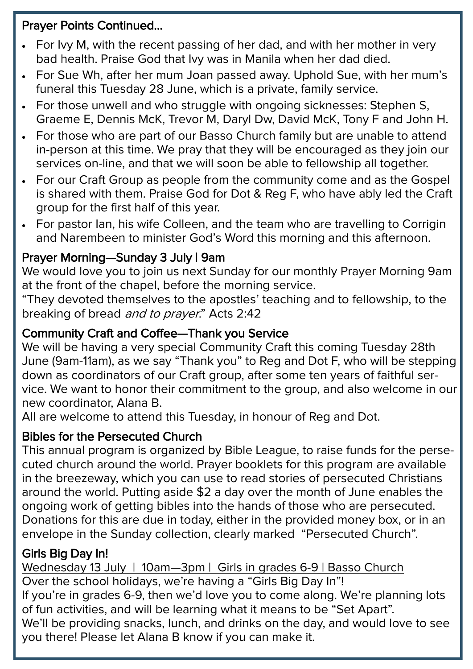#### Prayer Points Continued...

- For Ivy M, with the recent passing of her dad, and with her mother in very bad health. Praise God that Ivy was in Manila when her dad died.
- For Sue Wh, after her mum Joan passed away. Uphold Sue, with her mum's funeral this Tuesday 28 June, which is a private, family service.
- For those unwell and who struggle with ongoing sicknesses: Stephen S, Graeme E, Dennis McK, Trevor M, Daryl Dw, David McK, Tony F and John H.
- For those who are part of our Basso Church family but are unable to attend in-person at this time. We pray that they will be encouraged as they join our services on-line, and that we will soon be able to fellowship all together.
- For our Craft Group as people from the community come and as the Gospel is shared with them. Praise God for Dot & Reg F, who have ably led the Craft group for the first half of this year.
- For pastor Ian, his wife Colleen, and the team who are travelling to Corrigin and Narembeen to minister God's Word this morning and this afternoon.

#### Prayer Morning—Sunday 3 July | 9am

We would love you to join us next Sunday for our monthly Prayer Morning 9am at the front of the chapel, before the morning service.

"They devoted themselves to the apostles' teaching and to fellowship, to the breaking of bread and to prayer." Acts 2:42

#### Community Craft and Coffee—Thank you Service

We will be having a very special Community Craft this coming Tuesday 28th June (9am-11am), as we say "Thank you" to Reg and Dot F, who will be stepping down as coordinators of our Craft group, after some ten years of faithful service. We want to honor their commitment to the group, and also welcome in our new coordinator, Alana B.

All are welcome to attend this Tuesday, in honour of Reg and Dot.

#### Bibles for the Persecuted Church

This annual program is organized by Bible League, to raise funds for the persecuted church around the world. Prayer booklets for this program are available in the breezeway, which you can use to read stories of persecuted Christians around the world. Putting aside \$2 a day over the month of June enables the ongoing work of getting bibles into the hands of those who are persecuted. Donations for this are due in today, either in the provided money box, or in an envelope in the Sunday collection, clearly marked "Persecuted Church".

#### Girls Big Day In!

Wednesday 13 July | 10am-3pm | Girls in grades 6-9 | Basso Church Over the school holidays, we're having a "Girls Big Day In"! If you're in grades 6-9, then we'd love you to come along. We're planning lots of fun activities, and will be learning what it means to be "Set Apart". We'll be providing snacks, lunch, and drinks on the day, and would love to see you there! Please let Alana B know if you can make it.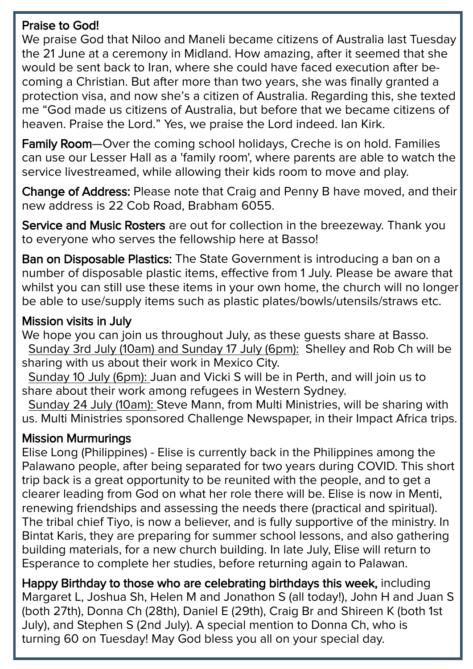#### Praise to God!

We praise God that Niloo and Maneli became citizens of Australia last Tuesday the 21 June at a ceremony in Midland. How amazing, after it seemed that she would be sent back to Iran, where she could have faced execution after becoming a Christian. But after more than two years, she was finally granted a protection visa, and now she's a citizen of Australia. Regarding this, she texted me "God made us citizens of Australia, but before that we became citizens of heaven. Praise the Lord." Yes, we praise the Lord indeed. Ian Kirk.

Family Room—Over the coming school holidays, Creche is on hold. Families can use our Lesser Hall as a 'family room', where parents are able to watch the service livestreamed, while allowing their kids room to move and play.

Change of Address: Please note that Craig and Penny B have moved, and their new address is 22 Cob Road, Brabham 6055.

Service and Music Rosters are out for collection in the breezeway. Thank you to everyone who serves the fellowship here at Basso!

Ban on Disposable Plastics: The State Government is introducing a ban on a number of disposable plastic items, effective from 1 July. Please be aware that whilst you can still use these items in your own home, the church will no longer be able to use/supply items such as plastic plates/bowls/utensils/straws etc.

#### Mission visits in July

We hope you can join us throughout July, as these guests share at Basso. Sunday 3rd July (10am) and Sunday 17 July (6pm): Shelley and Rob Ch will be sharing with us about their work in Mexico City.

 Sunday 10 July (6pm): Juan and Vicki S will be in Perth, and will join us to share about their work among refugees in Western Sydney.

 Sunday 24 July (10am): Steve Mann, from Multi Ministries, will be sharing with us. Multi Ministries sponsored Challenge Newspaper, in their Impact Africa trips.

#### Mission Murmurings

Elise Long (Philippines) - Elise is currently back in the Philippines among the Palawano people, after being separated for two years during COVID. This short trip back is a great opportunity to be reunited with the people, and to get a clearer leading from God on what her role there will be. Elise is now in Menti, renewing friendships and assessing the needs there (practical and spiritual). The tribal chief Tiyo, is now a believer, and is fully supportive of the ministry. In Bintat Karis, they are preparing for summer school lessons, and also gathering building materials, for a new church building. In late July, Elise will return to Esperance to complete her studies, before returning again to Palawan.

Happy Birthday to those who are celebrating birthdays this week, including Margaret L, Joshua Sh, Helen M and Jonathon S (all today!), John H and Juan S (both 27th), Donna Ch (28th), Daniel E (29th), Craig Br and Shireen K (both 1st July), and Stephen S (2nd July). A special mention to Donna Ch, who is turning 60 on Tuesday! May God bless you all on your special day.